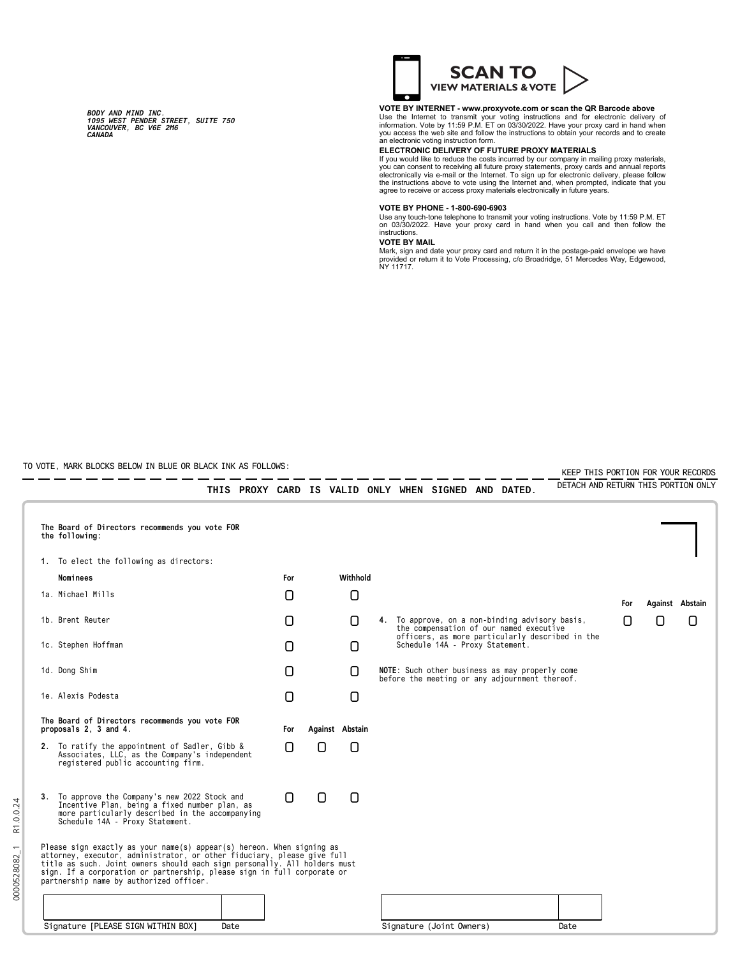*BODY AND MIND INC. 1095 WEST PENDER STREET, SUITE 750 VANCOUVER, BC V6E 2M6 CANADA*



### **VOTE BY INTERNET - www.proxyvote.com or scan the QR Barcode above**

Use the Internet to transmit your voting instructions and for electronic delivery of<br>information. Vote by 11:59 P.M. ET on 03/30/2022. Have your proxy card in hand when<br>you access the web site and follow the instructions t

# **ELECTRONIC DELIVERY OF FUTURE PROXY MATERIALS**

If you would like to reduce the costs incurred by our company in mailing proxy materials,<br>you can consent to receiving all future proxy statements, proxy cards and annual reports<br>electronically via e-mail or the Internet.

#### **VOTE BY PHONE - 1-800-690-6903**

Use any touch-tone telephone to transmit your voting instructions. Vote by 11:59 P.M. ET on 03/30/2022. Have your proxy card in hand when you call and then follow the instructions.

## **VOTE BY MAIL**

Mark, sign and date your proxy card and return it in the postage-paid envelope we have<br>provided or return it to Vote Processing, c/o Broadridge, 51 Mercedes Way, Edgewood,<br>NY 11717.

TO VOTE, MARK BLOCKS BELOW IN BLUE OR BLACK INK AS FOLLOWS:

|  | TO VOTE, MARK BLOCKS BELOW IN BLUE OR BLACK INK AS FOLLOWS: |                                                                                                                                                                                                                                                                                                                                                  |   |      |     |   |                                 |                                                 |                                                                                            |                                                      |  | KEEP THIS PORTION FOR YOUR RECORDS                                                               |                                     |     |   |                 |
|--|-------------------------------------------------------------|--------------------------------------------------------------------------------------------------------------------------------------------------------------------------------------------------------------------------------------------------------------------------------------------------------------------------------------------------|---|------|-----|---|---------------------------------|-------------------------------------------------|--------------------------------------------------------------------------------------------|------------------------------------------------------|--|--------------------------------------------------------------------------------------------------|-------------------------------------|-----|---|-----------------|
|  |                                                             |                                                                                                                                                                                                                                                                                                                                                  |   |      |     |   |                                 |                                                 |                                                                                            | THIS PROXY CARD IS VALID ONLY WHEN SIGNED AND DATED. |  |                                                                                                  | DETACH AND RETURN THIS PORTION ONLY |     |   |                 |
|  | the following:                                              | The Board of Directors recommends you vote FOR                                                                                                                                                                                                                                                                                                   |   |      |     |   |                                 |                                                 |                                                                                            |                                                      |  |                                                                                                  |                                     |     |   |                 |
|  |                                                             | 1. To elect the following as directors:                                                                                                                                                                                                                                                                                                          |   |      |     |   |                                 |                                                 |                                                                                            |                                                      |  |                                                                                                  |                                     |     |   |                 |
|  | Nominees                                                    |                                                                                                                                                                                                                                                                                                                                                  |   |      | For |   | Withhold                        |                                                 |                                                                                            |                                                      |  |                                                                                                  |                                     |     |   |                 |
|  | 1a. Michael Mills                                           |                                                                                                                                                                                                                                                                                                                                                  |   |      | 0   |   | 0                               |                                                 |                                                                                            |                                                      |  |                                                                                                  |                                     | For |   | Against Abstain |
|  | 1b. Brent Reuter<br>1c. Stephen Hoffman                     |                                                                                                                                                                                                                                                                                                                                                  |   |      | 0   |   | n                               |                                                 | 4. To approve, on a non-binding advisory basis,<br>the compensation of our named executive |                                                      |  |                                                                                                  |                                     | ſ1  | Π | 0               |
|  |                                                             |                                                                                                                                                                                                                                                                                                                                                  | 0 |      | 0   |   | Schedule 14A - Proxy Statement. | officers, as more particularly described in the |                                                                                            |                                                      |  |                                                                                                  |                                     |     |   |                 |
|  | 1d. Dong Shim                                               |                                                                                                                                                                                                                                                                                                                                                  |   |      | n   |   | n                               |                                                 |                                                                                            |                                                      |  | NOTE: Such other business as may properly come<br>before the meeting or any adjournment thereof. |                                     |     |   |                 |
|  | 1e. Alexis Podesta                                          |                                                                                                                                                                                                                                                                                                                                                  |   |      | 0   |   | 0                               |                                                 |                                                                                            |                                                      |  |                                                                                                  |                                     |     |   |                 |
|  | proposals 2, 3 and 4.                                       | The Board of Directors recommends you vote FOR                                                                                                                                                                                                                                                                                                   |   |      | For |   | Against Abstain                 |                                                 |                                                                                            |                                                      |  |                                                                                                  |                                     |     |   |                 |
|  |                                                             | 2. To ratify the appointment of Sadler, Gibb &<br>Associates, LLC, as the Company's independent<br>registered public accounting firm.                                                                                                                                                                                                            |   |      | n   | Π | 0                               |                                                 |                                                                                            |                                                      |  |                                                                                                  |                                     |     |   |                 |
|  | Schedule 14A - Proxy Statement.                             | 3. To approve the Company's new 2022 Stock and<br>Incentive Plan, being a fixed number plan, as<br>more particularly described in the accompanying                                                                                                                                                                                               |   |      | 0   | 0 | 0                               |                                                 |                                                                                            |                                                      |  |                                                                                                  |                                     |     |   |                 |
|  |                                                             | Please sign exactly as your name(s) appear(s) hereon. When signing as<br>attorney, executor, administrator, or other fiduciary, please give full title as such. Joint owners should each sign personally. All holders must<br>sign. If a corporation or partnership, please sign in full corporate or<br>partnership name by authorized officer. |   |      |     |   |                                 |                                                 |                                                                                            |                                                      |  |                                                                                                  |                                     |     |   |                 |
|  |                                                             |                                                                                                                                                                                                                                                                                                                                                  |   |      |     |   |                                 |                                                 |                                                                                            |                                                      |  |                                                                                                  |                                     |     |   |                 |
|  |                                                             | Signature [PLEASE SIGN WITHIN BOX]                                                                                                                                                                                                                                                                                                               |   | Date |     |   |                                 |                                                 |                                                                                            | Signature (Joint Owners)                             |  |                                                                                                  | Date                                |     |   |                 |